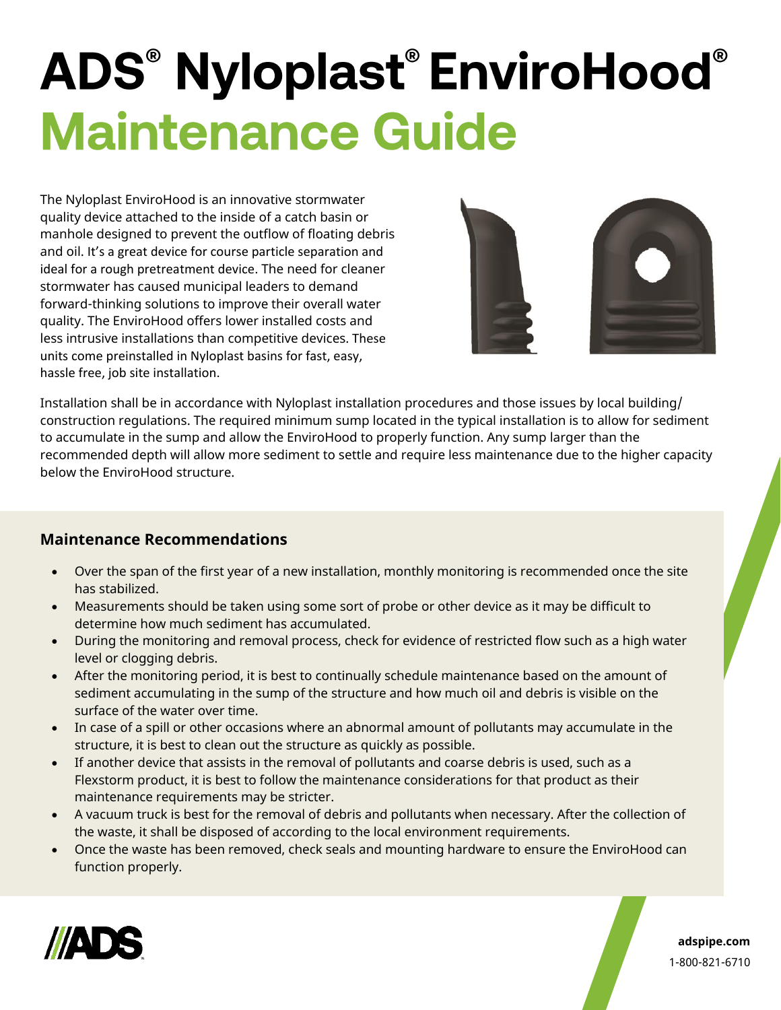## **ADS<sup>®</sup> Nyloplast<sup>®</sup> EnviroHood<sup>®</sup> Maintenance Guide**

The Nyloplast EnviroHood is an innovative stormwater quality device attached to the inside of a catch basin or manhole designed to prevent the outflow of floating debris and oil. It's a great device for course particle separation and ideal for a rough pretreatment device. The need for cleaner stormwater has caused municipal leaders to demand forward-thinking solutions to improve their overall water quality. The EnviroHood offers lower installed costs and less intrusive installations than competitive devices. These units come preinstalled in Nyloplast basins for fast, easy, hassle free, job site installation.



Installation shall be in accordance with Nyloplast installation procedures and those issues by local building/ construction regulations. The required minimum sump located in the typical installation is to allow for sediment to accumulate in the sump and allow the EnviroHood to properly function. Any sump larger than the recommended depth will allow more sediment to settle and require less maintenance due to the higher capacity below the EnviroHood structure.

## **Maintenance Recommendations**

- Over the span of the first year of a new installation, monthly monitoring is recommended once the site has stabilized.
- Measurements should be taken using some sort of probe or other device as it may be difficult to determine how much sediment has accumulated.
- During the monitoring and removal process, check for evidence of restricted flow such as a high water level or clogging debris.
- After the monitoring period, it is best to continually schedule maintenance based on the amount of sediment accumulating in the sump of the structure and how much oil and debris is visible on the surface of the water over time.
- In case of a spill or other occasions where an abnormal amount of pollutants may accumulate in the structure, it is best to clean out the structure as quickly as possible.
- If another device that assists in the removal of pollutants and coarse debris is used, such as a Flexstorm product, it is best to follow the maintenance considerations for that product as their maintenance requirements may be stricter.
- A vacuum truck is best for the removal of debris and pollutants when necessary. After the collection of the waste, it shall be disposed of according to the local environment requirements.
- Once the waste has been removed, check seals and mounting hardware to ensure the EnviroHood can function properly.



**adspipe.com** 1-800-821-6710